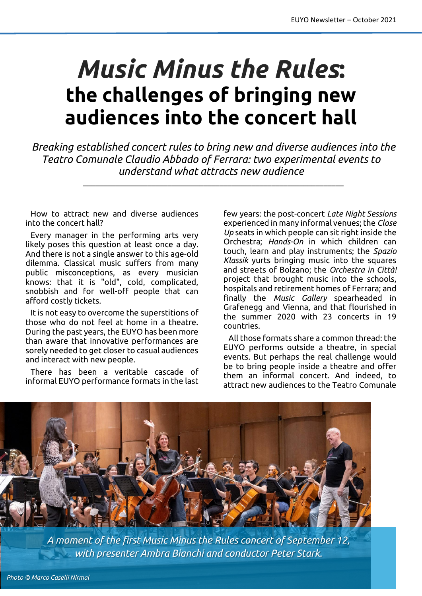## *Music Minus the Rules***: the challenges of bringing new audiences into the concert hall**

*Breaking established concert rules to bring new and diverse audiences into the Teatro Comunale Claudio Abbado of Ferrara: two experimental events to understand what attracts new audience*

 $\_$  , and the set of the set of the set of the set of the set of the set of the set of the set of the set of the set of the set of the set of the set of the set of the set of the set of the set of the set of the set of th

How to attract new and diverse audiences into the concert hall?

Every manager in the performing arts very likely poses this question at least once a day. And there is not a single answer to this age-old dilemma. Classical music suffers from many public misconceptions, as every musician knows: that it is "old", cold, complicated, snobbish and for well-off people that can afford costly tickets.

It is not easy to overcome the superstitions of those who do not feel at home in a theatre. During the past years, the EUYO has been more than aware that innovative performances are sorely needed to get closer to casual audiences and interact with new people.

There has been a veritable cascade of informal EUYO performance formats in the last few years: the post-concert *Late Night Sessions* experienced in many informal venues; the *Close Up* seats in which people can sit right inside the Orchestra; *Hands-On* in which children can touch, learn and play instruments; the *Spazio Klassik* yurts bringing music into the squares and streets of Bolzano; the *Orchestra in Città!* project that brought music into the schools, hospitals and retirement homes of Ferrara; and finally the *Music Gallery* spearheaded in Grafenegg and Vienna, and that flourished in the summer 2020 with 23 concerts in 19 countries.

All those formats share a common thread: the EUYO performs outside a theatre, in special events. But perhaps the real challenge would be to bring people inside a theatre and offer them an informal concert. And indeed, to attract new audiences to the Teatro Comunale



*A moment of the first Music Minus the Rules concert of September 12, with presenter Ambra Bianchi and conductor Peter Stark.*